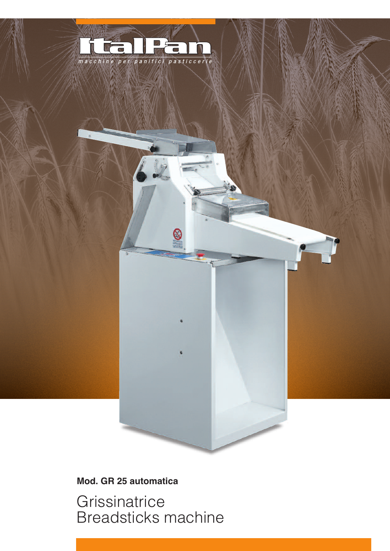

S

## Mod. GR 25 automatica

Grissinatrice **Breadsticks machine**